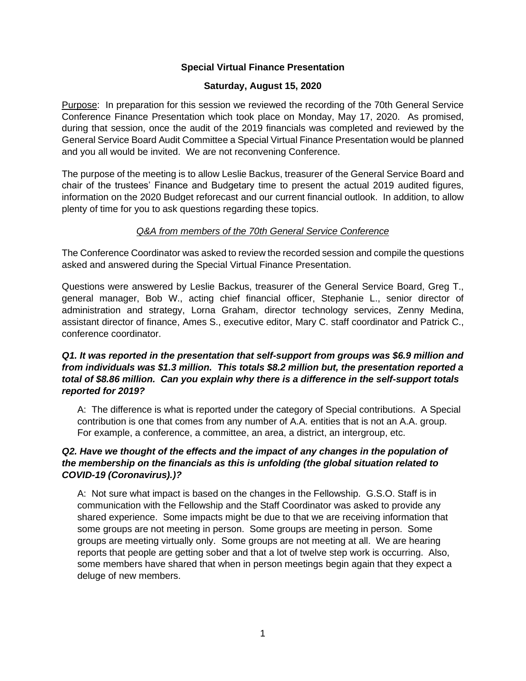## **Special Virtual Finance Presentation**

## **Saturday, August 15, 2020**

Purpose: In preparation for this session we reviewed the recording of the 70th General Service Conference Finance Presentation which took place on Monday, May 17, 2020. As promised, during that session, once the audit of the 2019 financials was completed and reviewed by the General Service Board Audit Committee a Special Virtual Finance Presentation would be planned and you all would be invited. We are not reconvening Conference.

The purpose of the meeting is to allow Leslie Backus, treasurer of the General Service Board and chair of the trustees' Finance and Budgetary time to present the actual 2019 audited figures, information on the 2020 Budget reforecast and our current financial outlook. In addition, to allow plenty of time for you to ask questions regarding these topics.

## *Q&A from members of the 70th General Service Conference*

The Conference Coordinator was asked to review the recorded session and compile the questions asked and answered during the Special Virtual Finance Presentation.

Questions were answered by Leslie Backus, treasurer of the General Service Board, Greg T., general manager, Bob W., acting chief financial officer, Stephanie L., senior director of administration and strategy, Lorna Graham, director technology services, Zenny Medina, assistant director of finance, Ames S., executive editor, Mary C. staff coordinator and Patrick C., conference coordinator.

## *Q1. It was reported in the presentation that self-support from groups was \$6.9 million and from individuals was \$1.3 million. This totals \$8.2 million but, the presentation reported a total of \$8.86 million. Can you explain why there is a difference in the self-support totals reported for 2019?*

A: The difference is what is reported under the category of Special contributions. A Special contribution is one that comes from any number of A.A. entities that is not an A.A. group. For example, a conference, a committee, an area, a district, an intergroup, etc.

## *Q2. Have we thought of the effects and the impact of any changes in the population of the membership on the financials as this is unfolding (the global situation related to COVID-19 (Coronavirus).)?*

A: Not sure what impact is based on the changes in the Fellowship. G.S.O. Staff is in communication with the Fellowship and the Staff Coordinator was asked to provide any shared experience. Some impacts might be due to that we are receiving information that some groups are not meeting in person. Some groups are meeting in person. Some groups are meeting virtually only. Some groups are not meeting at all. We are hearing reports that people are getting sober and that a lot of twelve step work is occurring. Also, some members have shared that when in person meetings begin again that they expect a deluge of new members.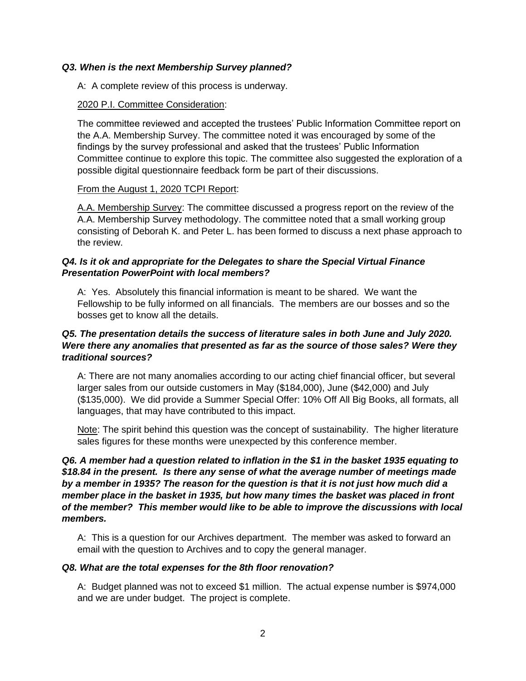#### *Q3. When is the next Membership Survey planned?*

A: A complete review of this process is underway.

#### 2020 P.I. Committee Consideration:

The committee reviewed and accepted the trustees' Public Information Committee report on the A.A. Membership Survey. The committee noted it was encouraged by some of the findings by the survey professional and asked that the trustees' Public Information Committee continue to explore this topic. The committee also suggested the exploration of a possible digital questionnaire feedback form be part of their discussions.

#### From the August 1, 2020 TCPI Report:

A.A. Membership Survey: The committee discussed a progress report on the review of the A.A. Membership Survey methodology. The committee noted that a small working group consisting of Deborah K. and Peter L. has been formed to discuss a next phase approach to the review.

## *Q4. Is it ok and appropriate for the Delegates to share the Special Virtual Finance Presentation PowerPoint with local members?*

A: Yes. Absolutely this financial information is meant to be shared. We want the Fellowship to be fully informed on all financials. The members are our bosses and so the bosses get to know all the details.

## *Q5. The presentation details the success of literature sales in both June and July 2020. Were there any anomalies that presented as far as the source of those sales? Were they traditional sources?*

A: There are not many anomalies according to our acting chief financial officer, but several larger sales from our outside customers in May (\$184,000), June (\$42,000) and July (\$135,000). We did provide a Summer Special Offer: 10% Off All Big Books, all formats, all languages, that may have contributed to this impact.

Note: The spirit behind this question was the concept of sustainability. The higher literature sales figures for these months were unexpected by this conference member.

## *Q6. A member had a question related to inflation in the \$1 in the basket 1935 equating to \$18.84 in the present. Is there any sense of what the average number of meetings made by a member in 1935? The reason for the question is that it is not just how much did a member place in the basket in 1935, but how many times the basket was placed in front of the member? This member would like to be able to improve the discussions with local members.*

A: This is a question for our Archives department. The member was asked to forward an email with the question to Archives and to copy the general manager.

#### *Q8. What are the total expenses for the 8th floor renovation?*

A: Budget planned was not to exceed \$1 million. The actual expense number is \$974,000 and we are under budget. The project is complete.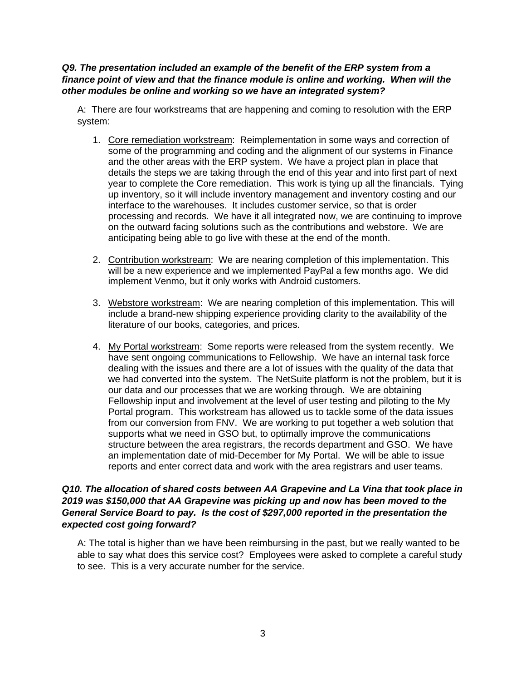#### *Q9. The presentation included an example of the benefit of the ERP system from a finance point of view and that the finance module is online and working. When will the other modules be online and working so we have an integrated system?*

A: There are four workstreams that are happening and coming to resolution with the ERP system:

- 1. Core remediation workstream: Reimplementation in some ways and correction of some of the programming and coding and the alignment of our systems in Finance and the other areas with the ERP system. We have a project plan in place that details the steps we are taking through the end of this year and into first part of next year to complete the Core remediation. This work is tying up all the financials. Tying up inventory, so it will include inventory management and inventory costing and our interface to the warehouses. It includes customer service, so that is order processing and records. We have it all integrated now, we are continuing to improve on the outward facing solutions such as the contributions and webstore. We are anticipating being able to go live with these at the end of the month.
- 2. Contribution workstream: We are nearing completion of this implementation. This will be a new experience and we implemented PayPal a few months ago. We did implement Venmo, but it only works with Android customers.
- 3. Webstore workstream: We are nearing completion of this implementation. This will include a brand-new shipping experience providing clarity to the availability of the literature of our books, categories, and prices.
- 4. My Portal workstream: Some reports were released from the system recently. We have sent ongoing communications to Fellowship. We have an internal task force dealing with the issues and there are a lot of issues with the quality of the data that we had converted into the system. The NetSuite platform is not the problem, but it is our data and our processes that we are working through. We are obtaining Fellowship input and involvement at the level of user testing and piloting to the My Portal program. This workstream has allowed us to tackle some of the data issues from our conversion from FNV. We are working to put together a web solution that supports what we need in GSO but, to optimally improve the communications structure between the area registrars, the records department and GSO. We have an implementation date of mid-December for My Portal. We will be able to issue reports and enter correct data and work with the area registrars and user teams.

## *Q10. The allocation of shared costs between AA Grapevine and La Vina that took place in 2019 was \$150,000 that AA Grapevine was picking up and now has been moved to the General Service Board to pay. Is the cost of \$297,000 reported in the presentation the expected cost going forward?*

A: The total is higher than we have been reimbursing in the past, but we really wanted to be able to say what does this service cost? Employees were asked to complete a careful study to see. This is a very accurate number for the service.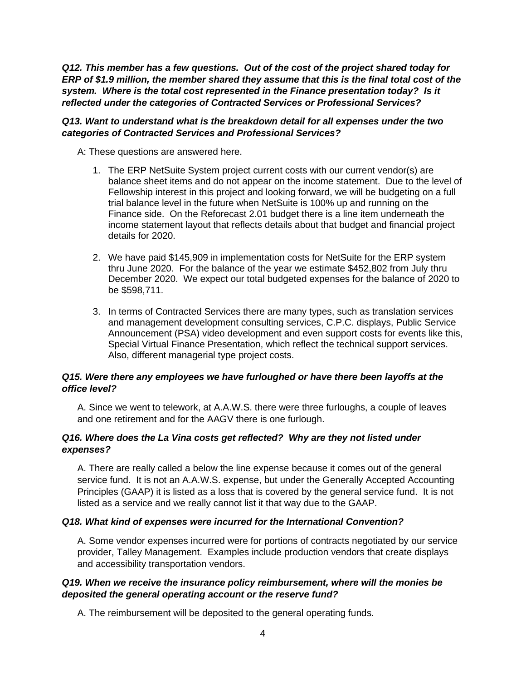*Q12. This member has a few questions. Out of the cost of the project shared today for ERP of \$1.9 million, the member shared they assume that this is the final total cost of the system. Where is the total cost represented in the Finance presentation today? Is it reflected under the categories of Contracted Services or Professional Services?* 

## *Q13. Want to understand what is the breakdown detail for all expenses under the two categories of Contracted Services and Professional Services?*

A: These questions are answered here.

- 1. The ERP NetSuite System project current costs with our current vendor(s) are balance sheet items and do not appear on the income statement. Due to the level of Fellowship interest in this project and looking forward, we will be budgeting on a full trial balance level in the future when NetSuite is 100% up and running on the Finance side. On the Reforecast 2.01 budget there is a line item underneath the income statement layout that reflects details about that budget and financial project details for 2020.
- 2. We have paid \$145,909 in implementation costs for NetSuite for the ERP system thru June 2020. For the balance of the year we estimate \$452,802 from July thru December 2020. We expect our total budgeted expenses for the balance of 2020 to be \$598,711.
- 3. In terms of Contracted Services there are many types, such as translation services and management development consulting services, C.P.C. displays, Public Service Announcement (PSA) video development and even support costs for events like this, Special Virtual Finance Presentation, which reflect the technical support services. Also, different managerial type project costs.

## *Q15. Were there any employees we have furloughed or have there been layoffs at the office level?*

A. Since we went to telework, at A.A.W.S. there were three furloughs, a couple of leaves and one retirement and for the AAGV there is one furlough.

## *Q16. Where does the La Vina costs get reflected? Why are they not listed under expenses?*

A. There are really called a below the line expense because it comes out of the general service fund. It is not an A.A.W.S. expense, but under the Generally Accepted Accounting Principles (GAAP) it is listed as a loss that is covered by the general service fund. It is not listed as a service and we really cannot list it that way due to the GAAP.

## *Q18. What kind of expenses were incurred for the International Convention?*

A. Some vendor expenses incurred were for portions of contracts negotiated by our service provider, Talley Management. Examples include production vendors that create displays and accessibility transportation vendors.

# *Q19. When we receive the insurance policy reimbursement, where will the monies be deposited the general operating account or the reserve fund?*

A. The reimbursement will be deposited to the general operating funds.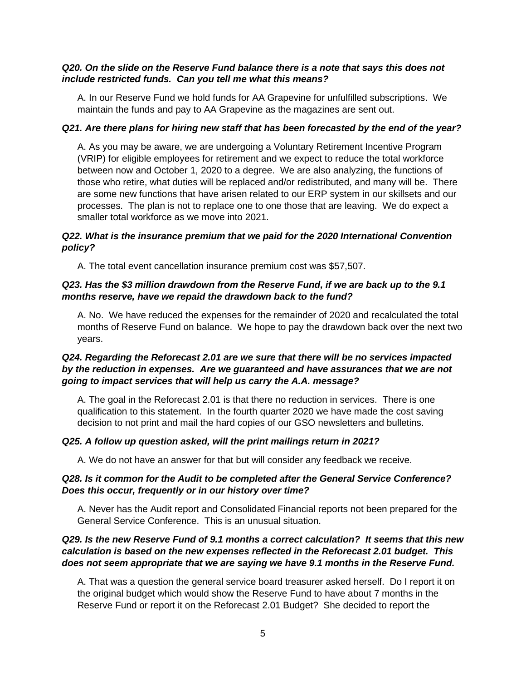### *Q20. On the slide on the Reserve Fund balance there is a note that says this does not include restricted funds. Can you tell me what this means?*

A. In our Reserve Fund we hold funds for AA Grapevine for unfulfilled subscriptions. We maintain the funds and pay to AA Grapevine as the magazines are sent out.

#### *Q21. Are there plans for hiring new staff that has been forecasted by the end of the year?*

A. As you may be aware, we are undergoing a Voluntary Retirement Incentive Program (VRIP) for eligible employees for retirement and we expect to reduce the total workforce between now and October 1, 2020 to a degree. We are also analyzing, the functions of those who retire, what duties will be replaced and/or redistributed, and many will be. There are some new functions that have arisen related to our ERP system in our skillsets and our processes. The plan is not to replace one to one those that are leaving. We do expect a smaller total workforce as we move into 2021.

## *Q22. What is the insurance premium that we paid for the 2020 International Convention policy?*

A. The total event cancellation insurance premium cost was \$57,507.

## *Q23. Has the \$3 million drawdown from the Reserve Fund, if we are back up to the 9.1 months reserve, have we repaid the drawdown back to the fund?*

A. No. We have reduced the expenses for the remainder of 2020 and recalculated the total months of Reserve Fund on balance. We hope to pay the drawdown back over the next two years.

## *Q24. Regarding the Reforecast 2.01 are we sure that there will be no services impacted by the reduction in expenses. Are we guaranteed and have assurances that we are not going to impact services that will help us carry the A.A. message?*

A. The goal in the Reforecast 2.01 is that there no reduction in services. There is one qualification to this statement. In the fourth quarter 2020 we have made the cost saving decision to not print and mail the hard copies of our GSO newsletters and bulletins.

## *Q25. A follow up question asked, will the print mailings return in 2021?*

A. We do not have an answer for that but will consider any feedback we receive.

## *Q28. Is it common for the Audit to be completed after the General Service Conference? Does this occur, frequently or in our history over time?*

A. Never has the Audit report and Consolidated Financial reports not been prepared for the General Service Conference. This is an unusual situation.

## *Q29. Is the new Reserve Fund of 9.1 months a correct calculation? It seems that this new calculation is based on the new expenses reflected in the Reforecast 2.01 budget. This does not seem appropriate that we are saying we have 9.1 months in the Reserve Fund.*

A. That was a question the general service board treasurer asked herself. Do I report it on the original budget which would show the Reserve Fund to have about 7 months in the Reserve Fund or report it on the Reforecast 2.01 Budget? She decided to report the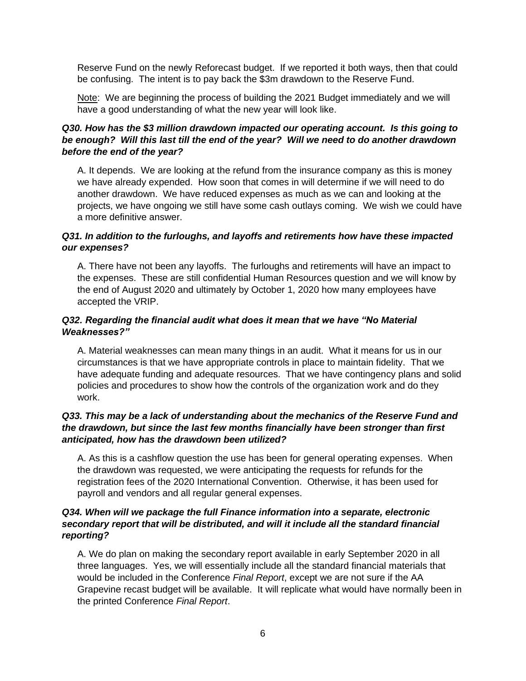Reserve Fund on the newly Reforecast budget. If we reported it both ways, then that could be confusing. The intent is to pay back the \$3m drawdown to the Reserve Fund.

Note: We are beginning the process of building the 2021 Budget immediately and we will have a good understanding of what the new year will look like.

# *Q30. How has the \$3 million drawdown impacted our operating account. Is this going to be enough? Will this last till the end of the year? Will we need to do another drawdown before the end of the year?*

A. It depends. We are looking at the refund from the insurance company as this is money we have already expended. How soon that comes in will determine if we will need to do another drawdown. We have reduced expenses as much as we can and looking at the projects, we have ongoing we still have some cash outlays coming. We wish we could have a more definitive answer.

## *Q31. In addition to the furloughs, and layoffs and retirements how have these impacted our expenses?*

A. There have not been any layoffs. The furloughs and retirements will have an impact to the expenses. These are still confidential Human Resources question and we will know by the end of August 2020 and ultimately by October 1, 2020 how many employees have accepted the VRIP.

## *Q32. Regarding the financial audit what does it mean that we have "No Material Weaknesses?"*

A. Material weaknesses can mean many things in an audit. What it means for us in our circumstances is that we have appropriate controls in place to maintain fidelity. That we have adequate funding and adequate resources. That we have contingency plans and solid policies and procedures to show how the controls of the organization work and do they work.

# *Q33. This may be a lack of understanding about the mechanics of the Reserve Fund and the drawdown, but since the last few months financially have been stronger than first anticipated, how has the drawdown been utilized?*

A. As this is a cashflow question the use has been for general operating expenses. When the drawdown was requested, we were anticipating the requests for refunds for the registration fees of the 2020 International Convention. Otherwise, it has been used for payroll and vendors and all regular general expenses.

## *Q34. When will we package the full Finance information into a separate, electronic secondary report that will be distributed, and will it include all the standard financial reporting?*

A. We do plan on making the secondary report available in early September 2020 in all three languages. Yes, we will essentially include all the standard financial materials that would be included in the Conference *Final Report*, except we are not sure if the AA Grapevine recast budget will be available. It will replicate what would have normally been in the printed Conference *Final Report*.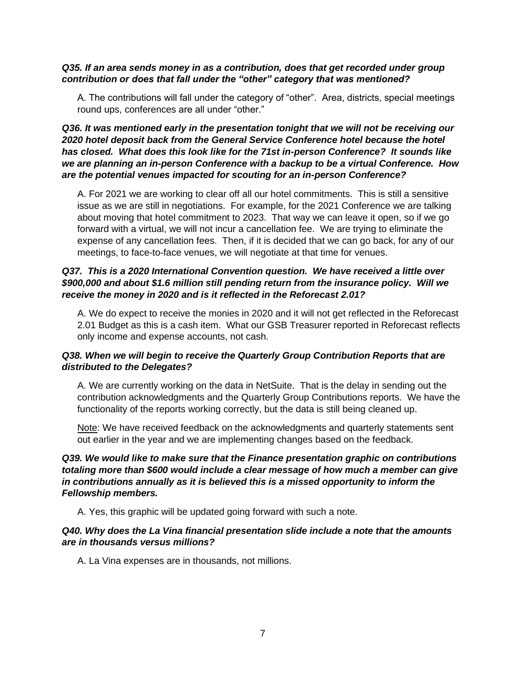#### *Q35. If an area sends money in as a contribution, does that get recorded under group contribution or does that fall under the "other" category that was mentioned?*

A. The contributions will fall under the category of "other". Area, districts, special meetings round ups, conferences are all under "other."

## *Q36. It was mentioned early in the presentation tonight that we will not be receiving our 2020 hotel deposit back from the General Service Conference hotel because the hotel has closed. What does this look like for the 71st in-person Conference? It sounds like we are planning an in-person Conference with a backup to be a virtual Conference. How are the potential venues impacted for scouting for an in-person Conference?*

A. For 2021 we are working to clear off all our hotel commitments. This is still a sensitive issue as we are still in negotiations. For example, for the 2021 Conference we are talking about moving that hotel commitment to 2023. That way we can leave it open, so if we go forward with a virtual, we will not incur a cancellation fee. We are trying to eliminate the expense of any cancellation fees. Then, if it is decided that we can go back, for any of our meetings, to face-to-face venues, we will negotiate at that time for venues.

## *Q37. This is a 2020 International Convention question. We have received a little over \$900,000 and about \$1.6 million still pending return from the insurance policy. Will we receive the money in 2020 and is it reflected in the Reforecast 2.01?*

A. We do expect to receive the monies in 2020 and it will not get reflected in the Reforecast 2.01 Budget as this is a cash item. What our GSB Treasurer reported in Reforecast reflects only income and expense accounts, not cash.

# *Q38. When we will begin to receive the Quarterly Group Contribution Reports that are distributed to the Delegates?*

A. We are currently working on the data in NetSuite. That is the delay in sending out the contribution acknowledgments and the Quarterly Group Contributions reports. We have the functionality of the reports working correctly, but the data is still being cleaned up.

Note: We have received feedback on the acknowledgments and quarterly statements sent out earlier in the year and we are implementing changes based on the feedback.

# *Q39. We would like to make sure that the Finance presentation graphic on contributions totaling more than \$600 would include a clear message of how much a member can give in contributions annually as it is believed this is a missed opportunity to inform the Fellowship members.*

A. Yes, this graphic will be updated going forward with such a note.

## *Q40. Why does the La Vina financial presentation slide include a note that the amounts are in thousands versus millions?*

A. La Vina expenses are in thousands, not millions.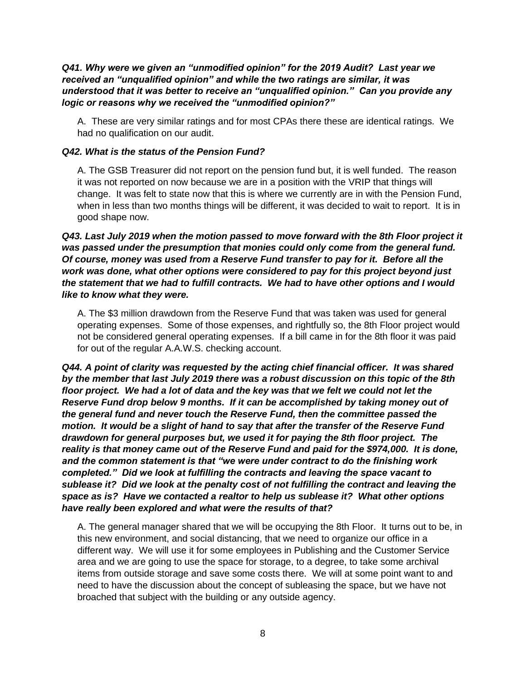### *Q41. Why were we given an "unmodified opinion" for the 2019 Audit? Last year we received an "unqualified opinion" and while the two ratings are similar, it was understood that it was better to receive an "unqualified opinion." Can you provide any logic or reasons why we received the "unmodified opinion?"*

A. These are very similar ratings and for most CPAs there these are identical ratings. We had no qualification on our audit.

#### *Q42. What is the status of the Pension Fund?*

A. The GSB Treasurer did not report on the pension fund but, it is well funded. The reason it was not reported on now because we are in a position with the VRIP that things will change. It was felt to state now that this is where we currently are in with the Pension Fund, when in less than two months things will be different, it was decided to wait to report. It is in good shape now.

*Q43. Last July 2019 when the motion passed to move forward with the 8th Floor project it was passed under the presumption that monies could only come from the general fund. Of course, money was used from a Reserve Fund transfer to pay for it. Before all the work was done, what other options were considered to pay for this project beyond just the statement that we had to fulfill contracts. We had to have other options and I would like to know what they were.*

A. The \$3 million drawdown from the Reserve Fund that was taken was used for general operating expenses. Some of those expenses, and rightfully so, the 8th Floor project would not be considered general operating expenses. If a bill came in for the 8th floor it was paid for out of the regular A.A.W.S. checking account.

*Q44. A point of clarity was requested by the acting chief financial officer. It was shared by the member that last July 2019 there was a robust discussion on this topic of the 8th floor project. We had a lot of data and the key was that we felt we could not let the Reserve Fund drop below 9 months. If it can be accomplished by taking money out of the general fund and never touch the Reserve Fund, then the committee passed the motion. It would be a slight of hand to say that after the transfer of the Reserve Fund drawdown for general purposes but, we used it for paying the 8th floor project. The reality is that money came out of the Reserve Fund and paid for the \$974,000. It is done, and the common statement is that "we were under contract to do the finishing work completed." Did we look at fulfilling the contracts and leaving the space vacant to sublease it? Did we look at the penalty cost of not fulfilling the contract and leaving the space as is? Have we contacted a realtor to help us sublease it? What other options have really been explored and what were the results of that?* 

A. The general manager shared that we will be occupying the 8th Floor. It turns out to be, in this new environment, and social distancing, that we need to organize our office in a different way. We will use it for some employees in Publishing and the Customer Service area and we are going to use the space for storage, to a degree, to take some archival items from outside storage and save some costs there. We will at some point want to and need to have the discussion about the concept of subleasing the space, but we have not broached that subject with the building or any outside agency.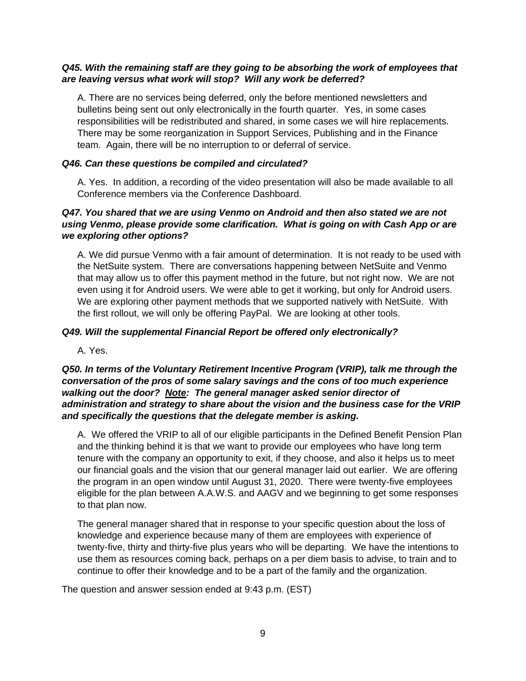## *Q45. With the remaining staff are they going to be absorbing the work of employees that are leaving versus what work will stop? Will any work be deferred?*

A. There are no services being deferred, only the before mentioned newsletters and bulletins being sent out only electronically in the fourth quarter. Yes, in some cases responsibilities will be redistributed and shared, in some cases we will hire replacements. There may be some reorganization in Support Services, Publishing and in the Finance team. Again, there will be no interruption to or deferral of service.

## *Q46. Can these questions be compiled and circulated?*

A. Yes. In addition, a recording of the video presentation will also be made available to all Conference members via the Conference Dashboard.

## *Q47. You shared that we are using Venmo on Android and then also stated we are not using Venmo, please provide some clarification. What is going on with Cash App or are we exploring other options?*

A. We did pursue Venmo with a fair amount of determination. It is not ready to be used with the NetSuite system. There are conversations happening between NetSuite and Venmo that may allow us to offer this payment method in the future, but not right now. We are not even using it for Android users. We were able to get it working, but only for Android users. We are exploring other payment methods that we supported natively with NetSuite. With the first rollout, we will only be offering PayPal. We are looking at other tools.

#### *Q49. Will the supplemental Financial Report be offered only electronically?*

A. Yes.

## *Q50. In terms of the Voluntary Retirement Incentive Program (VRIP), talk me through the conversation of the pros of some salary savings and the cons of too much experience walking out the door? Note: The general manager asked senior director of administration and strategy to share about the vision and the business case for the VRIP and specifically the questions that the delegate member is asking.*

A. We offered the VRIP to all of our eligible participants in the Defined Benefit Pension Plan and the thinking behind it is that we want to provide our employees who have long term tenure with the company an opportunity to exit, if they choose, and also it helps us to meet our financial goals and the vision that our general manager laid out earlier. We are offering the program in an open window until August 31, 2020. There were twenty-five employees eligible for the plan between A.A.W.S. and AAGV and we beginning to get some responses to that plan now.

The general manager shared that in response to your specific question about the loss of knowledge and experience because many of them are employees with experience of twenty-five, thirty and thirty-five plus years who will be departing. We have the intentions to use them as resources coming back, perhaps on a per diem basis to advise, to train and to continue to offer their knowledge and to be a part of the family and the organization.

The question and answer session ended at 9:43 p.m. (EST)